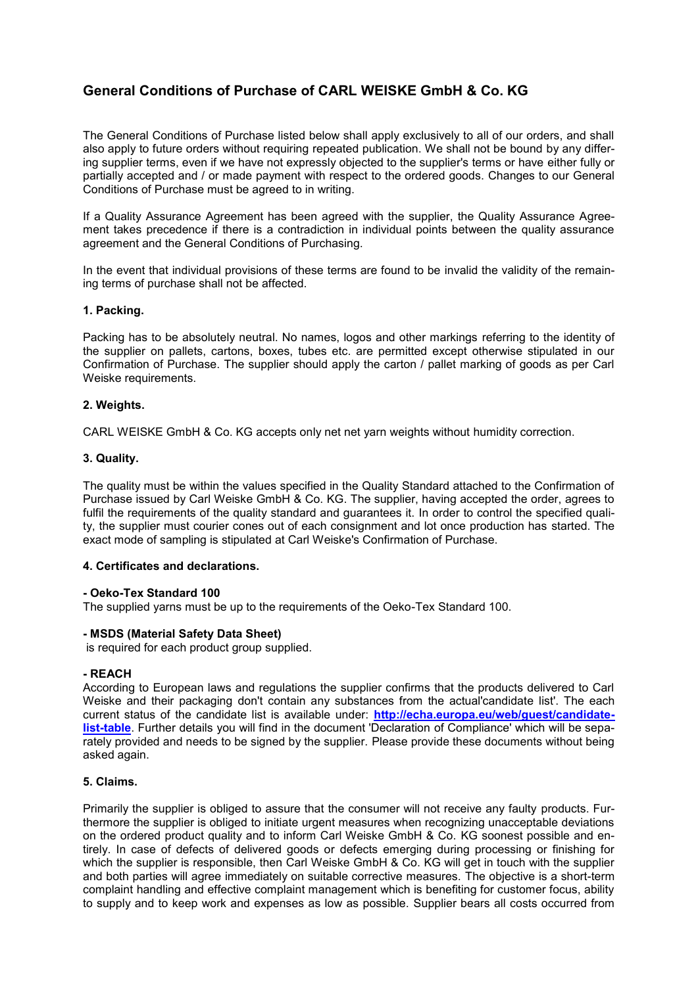# **General Conditions of Purchase of CARL WEISKE GmbH & Co. KG**

The General Conditions of Purchase listed below shall apply exclusively to all of our orders, and shall also apply to future orders without requiring repeated publication. We shall not be bound by any differing supplier terms, even if we have not expressly objected to the supplier's terms or have either fully or partially accepted and / or made payment with respect to the ordered goods. Changes to our General Conditions of Purchase must be agreed to in writing.

If a Quality Assurance Agreement has been agreed with the supplier, the Quality Assurance Agreement takes precedence if there is a contradiction in individual points between the quality assurance agreement and the General Conditions of Purchasing.

In the event that individual provisions of these terms are found to be invalid the validity of the remaining terms of purchase shall not be affected.

# **1. Packing.**

Packing has to be absolutely neutral. No names, logos and other markings referring to the identity of the supplier on pallets, cartons, boxes, tubes etc. are permitted except otherwise stipulated in our Confirmation of Purchase. The supplier should apply the carton / pallet marking of goods as per Carl Weiske requirements.

# **2. Weights.**

CARL WEISKE GmbH & Co. KG accepts only net net yarn weights without humidity correction.

# **3. Quality.**

The quality must be within the values specified in the Quality Standard attached to the Confirmation of Purchase issued by Carl Weiske GmbH & Co. KG. The supplier, having accepted the order, agrees to fulfil the requirements of the quality standard and quarantees it. In order to control the specified quality, the supplier must courier cones out of each consignment and lot once production has started. The exact mode of sampling is stipulated at Carl Weiske's Confirmation of Purchase.

# **4. Certificates and declarations.**

#### **- Oeko-Tex Standard 100**

The supplied yarns must be up to the requirements of the Oeko-Tex Standard 100.

#### **- MSDS (Material Safety Data Sheet)**

is required for each product group supplied.

#### **- REACH**

According to European laws and regulations the supplier confirms that the products delivered to Carl Weiske and their packaging don't contain any substances from the actual'candidate list'. The each current status of the candidate list is available under: **[http://echa.europa.eu/web/guest/candidate](http://echa.europa.eu/web/guest/candidate-list-table)[list-table](http://echa.europa.eu/web/guest/candidate-list-table)**. Further details you will find in the document 'Declaration of Compliance' which will be separately provided and needs to be signed by the supplier. Please provide these documents without being asked again.

#### **5. Claims.**

Primarily the supplier is obliged to assure that the consumer will not receive any faulty products. Furthermore the supplier is obliged to initiate urgent measures when recognizing unacceptable deviations on the ordered product quality and to inform Carl Weiske GmbH & Co. KG soonest possible and entirely. In case of defects of delivered goods or defects emerging during processing or finishing for which the supplier is responsible, then Carl Weiske GmbH & Co. KG will get in touch with the supplier and both parties will agree immediately on suitable corrective measures. The objective is a short-term complaint handling and effective complaint management which is benefiting for customer focus, ability to supply and to keep work and expenses as low as possible. Supplier bears all costs occurred from